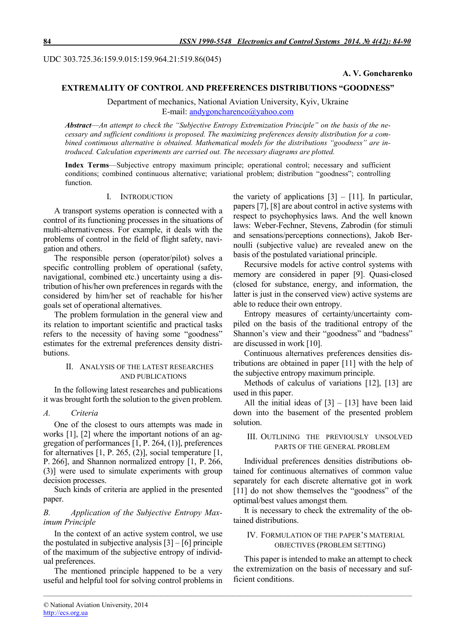UDC 303.725.36:159.9.015:159.964.21:519.86(045)

# A. V. Goncharenko

# EXTREMALITY OF CONTROL AND PREFERENCES DISTRIBUTIONS "GOODNESS"

Department of mechanics, National Aviation University, Kyiv, Ukraine E-mail: andygoncharenco@yahoo.com

*Abstract*—*An attempt to check the "Subjective Entropy Extremization Principle" on the basis of the necessary and sufficient conditions is proposed. The maximizing preferences density distribution for a combined continuous alternative is obtained. Mathematical models for the distributions "goodness" are introduced. Calculation experiments are carried out. The necessary diagrams are plotted.*

Index Terms—Subjective entropy maximum principle; operational control; necessary and sufficient conditions; combined continuous alternative; variational problem; distribution "goodness"; controlling function.

*\_\_\_\_\_\_\_\_\_\_\_\_\_\_\_\_\_\_\_\_\_\_\_\_\_\_\_\_\_\_\_\_\_\_\_\_\_\_\_\_\_\_\_\_\_\_\_\_\_\_\_\_\_\_\_\_\_\_\_\_\_\_\_\_\_\_\_\_\_\_\_\_\_\_\_\_\_\_\_\_\_\_\_\_\_\_\_\_\_\_\_\_\_\_\_\_\_\_\_\_\_\_\_\_\_\_\_*

## I. INTRODUCTION

A transport systems operation is connected with a control of its functioning processes in the situations of multi-alternativeness. For example, it deals with the problems of control in the field of flight safety, navigation and others.

The responsible person (operator/pilot) solves a specific controlling problem of operational (safety, navigational, combined etc.) uncertainty using a distribution of his/her own preferences in regards with the considered by him/her set of reachable for his/her goals set of operational alternatives.

The problem formulation in the general view and its relation to important scientific and practical tasks refers to the necessity of having some "goodness" estimates for the extremal preferences density distributions.

#### II. ANALYSIS OF THE LATEST RESEARCHES AND PUBLICATIONS

In the following latest researches and publications it was brought forth the solution to the given problem.

## *A. Criteria*

One of the closest to ours attempts was made in works [1], [2] where the important notions of an aggregation of performances [1, P. 264, (1)], preferences for alternatives [1, P. 265, (2)], social temperature [1, P. 266], and Shannon normalized entropy [1, P. 266, (3)] were used to simulate experiments with group decision processes.

Such kinds of criteria are applied in the presented paper.

# *B. Application of the Subjective Entropy Maximum Principle*

In the context of an active system control, we use the postulated in subjective analysis  $[3] - [6]$  principle of the maximum of the subjective entropy of individual preferences.

The mentioned principle happened to be a very useful and helpful tool for solving control problems in the variety of applications  $[3] - [11]$ . In particular, papers [7], [8] are about control in active systems with respect to psychophysics laws. And the well known laws: Weber-Fechner, Stevens, Zabrodin (for stimuli and sensations/perceptions connections), Jakob Bernoulli (subjective value) are revealed anew on the basis of the postulated variational principle.

Recursive models for active control systems with memory are considered in paper [9]. Quasi-closed (closed for substance, energy, and information, the latter is just in the conserved view) active systems are able to reduce their own entropy.

Entropy measures of certainty/uncertainty compiled on the basis of the traditional entropy of the Shannon's view and their "goodness" and "badness" are discussed in work [10].

Continuous alternatives preferences densities distributions are obtained in paper [11] with the help of the subjective entropy maximum principle.

Methods of calculus of variations [12], [13] are used in this paper.

All the initial ideas of  $[3] - [13]$  have been laid down into the basement of the presented problem solution.

## III. OUTLINING THE PREVIOUSLY UNSOLVED PARTS OF THE GENERAL PROBLEM

Individual preferences densities distributions obtained for continuous alternatives of common value separately for each discrete alternative got in work [11] do not show themselves the "goodness" of the optimal/best values amongst them.

It is necessary to check the extremality of the obtained distributions.

# IV. FORMULATION OF THE PAPER'S MATERIAL OBJECTIVES (PROBLEM SETTING)

This paper is intended to make an attempt to check the extremization on the basis of necessary and sufficient conditions.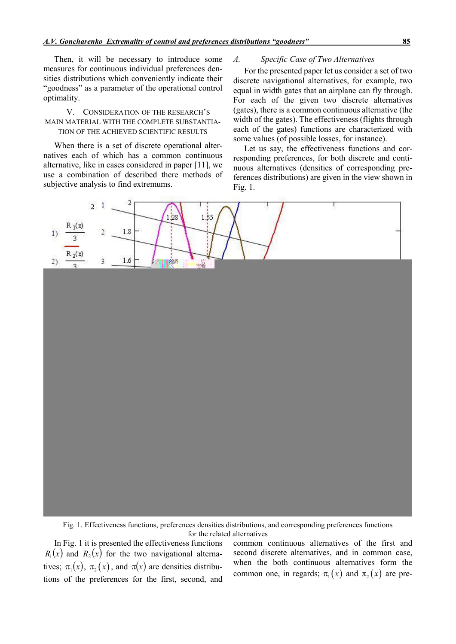Then, it will be necessary to introduce some measures for continuous individual preferences densities distributions which conveniently indicate their "goodness" as a parameter of the operational control optimality.

# V. CONSIDERATION OF THE RESEARCH'S MAIN MATERIAL WITH THE COMPLETE SUBSTANTIA-TION OF THE ACHIEVED SCIENTIFIC RESULTS

When there is a set of discrete operational alternatives each of which has a common continuous alternative, like in cases considered in paper [11], we use a combination of described there methods of subjective analysis to find extremums.

# *A. Specific Case of Two Alternatives*

For the presented paper let us consider a set of two discrete navigational alternatives, for example, two equal in width gates that an airplane can fly through. For each of the given two discrete alternatives (gates), there is a common continuous alternative (the width of the gates). The effectiveness (flights through each of the gates) functions are characterized with some values (of possible losses, for instance).

Let us say, the effectiveness functions and corresponding preferences, for both discrete and continuous alternatives (densities of corresponding preferences distributions) are given in the view shown in Fig. 1.



Fig. 1. Effectiveness functions, preferences densities distributions, and corresponding preferences functions for the related alternatives

In Fig. 1 it is presented the effectiveness functions  $R_1(x)$  and  $R_2(x)$  for the two navigational alternatives;  $\pi_1(x)$ ,  $\pi_2(x)$ , and  $\pi(x)$  are densities distributions of the preferences for the first, second, and

common continuous alternatives of the first and second discrete alternatives, and in common case, when the both continuous alternatives form the common one, in regards;  $\pi_1(x)$  and  $\pi_2(x)$  are pre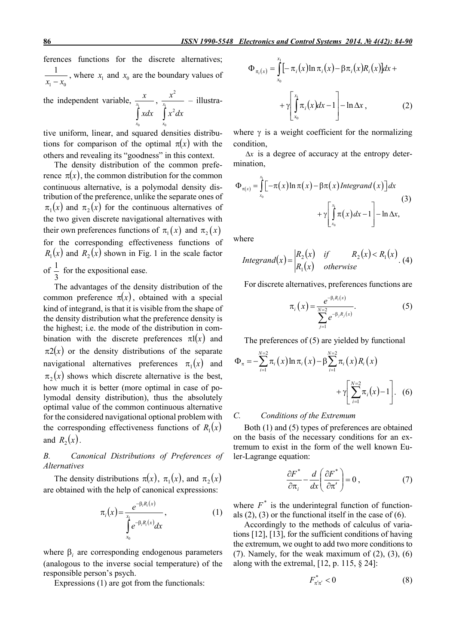ferences functions for the discrete alternatives; 1  $\mathcal{N}_0$ 1  $\frac{1}{x_1 - x_0}$ , where  $x_1$  and  $x_0$  are the boundary values of

the independent variable,  $\frac{1}{x_1}$  $\mathbf{0}$ *x x x xdx* ,  $\frac{1}{x_1}$ 0 2 2 *x x x*  $\int x^2 dx$ – illustra-

tive uniform, linear, and squared densities distributions for comparison of the optimal  $\pi(x)$  with the others and revealing its "goodness" in this context.

The density distribution of the common preference  $\pi(x)$ , the common distribution for the common continuous alternative, is a polymodal density distribution of the preference, unlike the separate ones of  $\pi_1(x)$  and  $\pi_2(x)$  for the continuous alternatives of the two given discrete navigational alternatives with their own preferences functions of  $\pi_1(x)$  and  $\pi_2(x)$ for the corresponding effectiveness functions of  $R_1(x)$  and  $R_2(x)$  shown in Fig. 1 in the scale factor of 3  $\frac{1}{2}$  for the expositional ease.

The advantages of the density distribution of the common preference  $\pi(x)$ , obtained with a special kind of integrand, is that it is visible from the shape of the density distribution what the preference density is the highest; i.e. the mode of the distribution in combination with the discrete preferences  $\pi$ 1(x) and  $\pi$ 2(x) or the density distributions of the separate navigational alternatives preferences  $\pi_1(x)$  and  $\pi_2(x)$  shows which discrete alternative is the best, how much it is better (more optimal in case of polymodal density distribution), thus the absolutely optimal value of the common continuous alternative for the considered navigational optional problem with the corresponding effectiveness functions of  $R_1(x)$ and  $R_2(x)$ .

*B. Canonical Distributions of Preferences of Alternatives*

The density distributions  $\pi(x)$ ,  $\pi_1(x)$ , and  $\pi_2(x)$ are obtained with the help of canonical expressions:

$$
\pi_i(x) = \frac{e^{-\beta_i R_i(x)}}{\int\limits_{x_0}^{x_1} e^{-\beta_i R_i(x)} dx},\tag{1}
$$

where  $\beta_i$  are corresponding endogenous parameters (analogous to the inverse social temperature) of the responsible person's psych.

Expressions (1) are got from the functionals:

$$
\Phi_{\pi_i(x)} = \int_{x_0}^{x_1} \left[-\pi_i(x)\ln \pi_i(x) - \beta \pi_i(x)R_i(x)\right] dx + \sqrt{\int_{x_0}^{x_1} \pi_i(x)dx - 1} - \ln \Delta x, \tag{2}
$$

where  $\gamma$  is a weight coefficient for the normalizing condition,

 $\Delta x$  is a degree of accuracy at the entropy determination,

$$
\Phi_{\pi(x)} = \int_{x_0}^{x_1} \left[ -\pi(x) \ln \pi(x) - \beta \pi(x) \right] dt + \gamma \left[ \int_{x_0}^{x_1} \pi(x) dx - 1 \right] - \ln \Delta x,
$$
\n(3)

where

$$
Integral(x) = \begin{vmatrix} R_2(x) & if & R_2(x) < R_1(x) \\ R_1(x) & otherwise \end{vmatrix} \tag{4}
$$

For discrete alternatives, preferences functions are

$$
\pi_{i}\left(x\right) = \frac{e^{-\beta_{i}R_{i}\left(x\right)}}{\sum_{j=1}^{N=2}e^{-\beta_{j}R_{j}\left(x\right)}}.\tag{5}
$$

The preferences of (5) are yielded by functional

$$
\Phi_{\pi} = -\sum_{i=1}^{N=2} \pi_i(x) \ln \pi_i(x) - \beta \sum_{i=1}^{N=2} \pi_i(x) R_i(x) + \gamma \left[ \sum_{i=1}^{N=2} \pi_i(x) - 1 \right].
$$
 (6)

#### *C. Conditions of the Extremum*

Both (1) and (5) types of preferences are obtained on the basis of the necessary conditions for an extremum to exist in the form of the well known Euler-Lagrange equation:

$$
\frac{\partial F^*}{\partial \pi_i} - \frac{d}{dx} \left( \frac{\partial F^*}{\partial \pi'} \right) = 0 \,, \tag{7}
$$

where  $F^*$  is the underintegral function of functionals  $(2)$ ,  $(3)$  or the functional itself in the case of  $(6)$ .

Accordingly to the methods of calculus of variations [12], [13], for the sufficient conditions of having the extremum, we ought to add two more conditions to  $(7)$ . Namely, for the weak maximum of  $(2)$ ,  $(3)$ ,  $(6)$ along with the extremal,  $[12, p. 115, \S 24]$ :

$$
F_{\pi'\pi'}^* < 0 \tag{8}
$$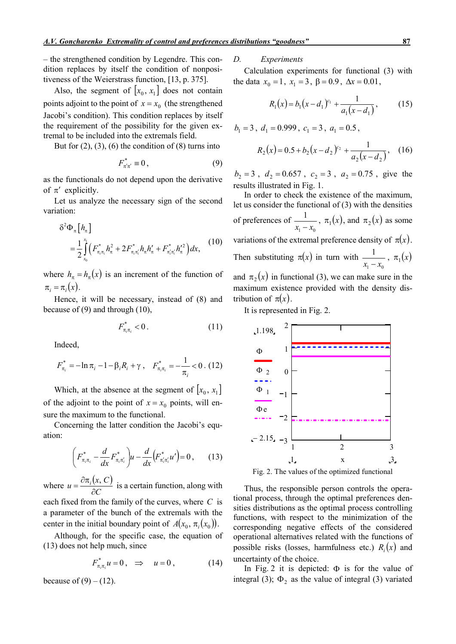– the strengthened condition by Legendre. This condition replaces by itself the condition of nonpositiveness of the Weierstrass function, [13, p. 375].

Also, the segment of  $[x_0, x_1]$  does not contain points adjoint to the point of  $x = x_0$  (the strengthened Jacobi's condition). This condition replaces by itself the requirement of the possibility for the given extremal to be included into the extremals field.

But for  $(2)$ ,  $(3)$ ,  $(6)$  the condition of  $(8)$  turns into

$$
F_{\pi'\pi'}^* \equiv 0, \qquad (9)
$$

as the functionals do not depend upon the derivative of  $\pi'$  explicitly.

Let us analyze the necessary sign of the second variation:

$$
\delta^2 \Phi_{\pi} \left[ h_{\pi} \right] = \frac{1}{2} \int_{x_0}^{x_1} \left( F_{\pi_i \pi_i}^* h_{\pi}^2 + 2 F_{\pi_i \pi_i}^* h_{\pi} h_{\pi}^{\prime} + F_{\pi_i \pi_i}^* h_{\pi}^{\prime 2} \right) dx, \tag{10}
$$

where  $h_{\pi} = h_{\pi}(x)$  is an increment of the function of  $\pi_i = \pi_i(x)$ .

Hence, it will be necessary, instead of (8) and because of (9) and through (10),

$$
F_{\pi_i \pi_i}^* < 0. \tag{11}
$$

Indeed,

$$
F_{\pi_i}^* = -\ln \pi_i - 1 - \beta_i R_i + \gamma \ , \quad F_{\pi_i \pi_i}^* = -\frac{1}{\pi_i} < 0 \ . \ (12)
$$

Which, at the absence at the segment of  $[x_0, x_1]$ of the adjoint to the point of  $x = x_0$  points, will ensure the maximum to the functional.

Concerning the latter condition the Jacobi's equation:

$$
\left(F_{\pi_i \pi_i}^* - \frac{d}{dx} F_{\pi_i \pi_i'}^*\right) u - \frac{d}{dx} \left(F_{\pi_i' \pi_i'}^* u'\right) = 0, \quad (13)
$$

where  $u = \frac{\partial \pi_i(x, C)}{\partial \Omega}$ *C*  $u = \frac{\partial \pi_i(x, C)}{\partial x}$  $\partial$  $=\frac{\partial \pi_i(x, C)}{\partial \vec{a}}$  is a certain function, along with each fixed from the family of the curves, where *C* is a parameter of the bunch of the extremals with the

center in the initial boundary point of  $A(x_0, \pi_i(x_0))$ . Although, for the specific case, the equation of

(13) does not help much, since

$$
F_{\pi_i \pi_i}^* u = 0 \,, \quad \Rightarrow \quad u = 0 \,, \tag{14}
$$

because of  $(9) - (12)$ .

### *D. Experiments*

Calculation experiments for functional (3) with the data  $x_0 = 1$ ,  $x_1 = 3$ ,  $\beta = 0.9$ ,  $\Delta x = 0.01$ ,

$$
R_1(x) = b_1(x - d_1)^{c_1} + \frac{1}{a_1(x - d_1)},
$$
 (15)

 $b_1 = 3$ ,  $d_1 = 0.999$ ,  $c_1 = 3$ ,  $a_1 = 0.5$ ,

$$
R_2(x) = 0.5 + b_2(x - d_2)^{c_2} + \frac{1}{a_2(x - d_2)},
$$
 (16)

 $b_2 = 3$ ,  $d_2 = 0.657$ ,  $c_2 = 3$ ,  $a_2 = 0.75$ , give the results illustrated in Fig. 1.

In order to check the existence of the maximum, let us consider the functional of (3) with the densities of preferences of 1  $\mathcal{N}_0$  $\frac{1}{x_1 - x_0}$ ,  $\pi_1(x)$ , and  $\pi_2(x)$  as some variations of the extremal preference density of  $\pi(x)$ . Then substituting  $\pi(x)$  in turn with 1  $\mathcal{N}_0$  $\frac{1}{x_1 - x_0}$ ,  $\pi_1(x)$ and  $\pi$ <sub>2</sub>(x) in functional (3), we can make sure in the maximum existence provided with the density distribution of  $\pi(x)$ .

It is represented in Fig. 2.



Fig. 2. The values of the optimized functional

Thus, the responsible person controls the operational process, through the optimal preferences densities distributions as the optimal process controlling functions, with respect to the minimization of the corresponding negative effects of the considered operational alternatives related with the functions of possible risks (losses, harmfulness etc.)  $R_i(x)$  and uncertainty of the choice.

In Fig. 2 it is depicted:  $\Phi$  is for the value of integral (3);  $\Phi_2$  as the value of integral (3) variated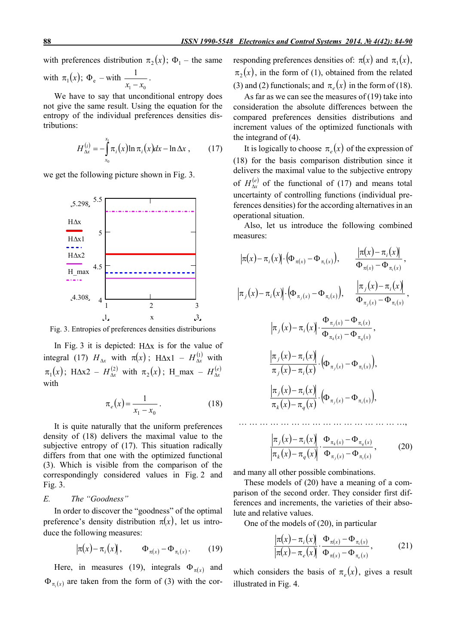with preferences distribution  $\pi_2(x)$ ;  $\Phi_1$  – the same

with 
$$
\pi_1(x)
$$
;  $\Phi_e$  – with  $\frac{1}{x_1 - x_0}$ .

We have to say that unconditional entropy does not give the same result. Using the equation for the entropy of the individual preferences densities distributions:

$$
H_{\Delta x}^{(i)} = -\int_{x_0}^{x_1} \pi_i(x) \ln \pi_i(x) dx - \ln \Delta x , \qquad (17)
$$

we get the following picture shown in Fig. 3.



Fig. 3. Entropies of preferences densities distriburions

In Fig. 3 it is depicted:  $H\Delta x$  is for the value of integral (17)  $H_{\Delta x}$  with  $\pi(x)$ ; H $\Delta x$ 1 –  $H_{\Delta x}^{(1)}$  with  $\pi_1(x)$ ; H $\Delta x^2 - H_{\Delta x}^{(2)}$  with  $\pi_2(x)$ ; H\_max –  $H_{\Delta x}^{(e)}$ with

$$
\pi_e(x) = \frac{1}{x_1 - x_0} \,. \tag{18}
$$

It is quite naturally that the uniform preferences density of (18) delivers the maximal value to the subjective entropy of (17). This situation radically differs from that one with the optimized functional (3). Which is visible from the comparison of the correspondingly considered values in Fig. 2 and Fig. 3.

# *E. The "Goodness"*

In order to discover the "goodness" of the optimal preference's density distribution  $\pi(x)$ , let us introduce the following measures:

$$
\left|\pi(x) - \pi_i(x)\right|, \qquad \Phi_{\pi(x)} - \Phi_{\pi_i(x)}.
$$
 (19)

Here, in measures (19), integrals  $\Phi_{\pi(x)}$  and  $\Phi_{\pi_i(x)}$  are taken from the form of (3) with the cor-

responding preferences densities of:  $\pi(x)$  and  $\pi_1(x)$ ,  $\pi$ <sub>2</sub>(x), in the form of (1), obtained from the related (3) and (2) functionals; and  $\pi_e(x)$  in the form of (18).

As far as we can see the measures of (19) take into consideration the absolute differences between the compared preferences densities distributions and increment values of the optimized functionals with the integrand of (4).

It is logically to choose  $\pi_e(x)$  of the expression of (18) for the basis comparison distribution since it delivers the maximal value to the subjective entropy of  $H_{\lambda r}^{(e)}$  of the functional of (17) and means total uncertainty of controlling functions (individual preferences densities) for the according alternatives in an operational situation.

Also, let us introduce the following combined measures:

$$
|\pi(x) - \pi_i(x)| \cdot (\Phi_{\pi(x)} - \Phi_{\pi_i(x)}), \frac{|\pi(x) - \pi_i(x)|}{\Phi_{\pi(x)} - \Phi_{\pi_i(x)}},
$$
  

$$
|\pi_j(x) - \pi_i(x)| \cdot (\Phi_{\pi_j(x)} - \Phi_{\pi_i(x)}), \frac{|\pi_j(x) - \pi_i(x)|}{\Phi_{\pi_j(x)} - \Phi_{\pi_i(x)}},
$$
  

$$
|\pi_j(x) - \pi_i(x)| \cdot \frac{\Phi_{\pi_j(x)} - \Phi_{\pi_i(x)}}{\Phi_{\pi_k(x)} - \Phi_{\pi_q(x)}},
$$
  

$$
\frac{|\pi_j(x) - \pi_i(x)|}{\pi_j(x) - \pi_j(x)} \cdot (\Phi_{\pi_j(x)} - \Phi_{\pi_i(x)}),
$$
  

$$
\frac{|\pi_j(x) - \pi_i(x)|}{\pi_k(x) - \pi_q(x)} \cdot (\Phi_{\pi_j(x)} - \Phi_{\pi_i(x)}),
$$
  

$$
\frac{|\pi_j(x) - \pi_i(x)|}{\pi_k(x) - \pi_q(x)} \cdot \frac{\Phi_{\pi_k(x)} - \Phi_{\pi_q(x)}}{\Phi_{\pi_j(x)} - \Phi_{\pi_j(x)}},
$$
(20)

and many all other possible combinations.

These models of (20) have a meaning of a comparison of the second order. They consider first differences and increments, the varieties of their absolute and relative values.

One of the models of (20), in particular

$$
\frac{|\pi(x) - \pi_i(x)|}{|\pi(x) - \pi_e(x)|} \cdot \frac{\Phi_{\pi(x)} - \Phi_{\pi_i(x)}}{\Phi_{\pi(x)} - \Phi_{\pi_e(x)}},
$$
(21)

which considers the basis of  $\pi_e(x)$ , gives a result illustrated in Fig. 4.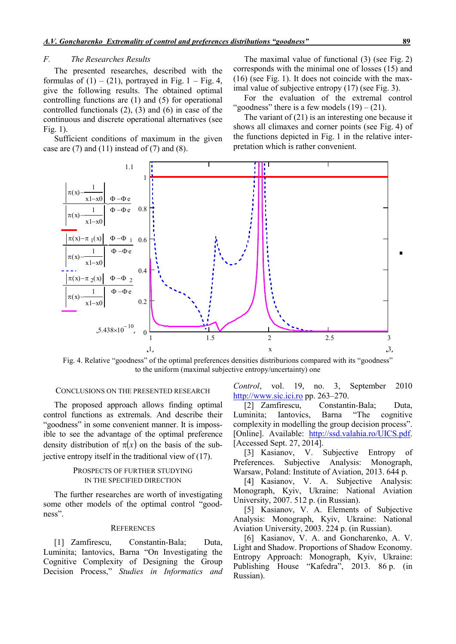## *F. The Researches Results*

The presented researches, described with the formulas of  $(1) - (21)$ , portrayed in Fig. 1 – Fig. 4, give the following results. The obtained optimal controlling functions are (1) and (5) for operational controlled functionals (2), (3) and (6) in case of the continuous and discrete operational alternatives (see Fig. 1).

Sufficient conditions of maximum in the given case are  $(7)$  and  $(11)$  instead of  $(7)$  and  $(8)$ .

The maximal value of functional (3) (see Fig. 2) corresponds with the minimal one of losses (15) and (16) (see Fig. 1). It does not coincide with the maximal value of subjective entropy (17) (see Fig. 3).

For the evaluation of the extremal control "goodness" there is a few models  $(19) - (21)$ .

The variant of (21) is an interesting one because it shows all climaxes and corner points (see Fig. 4) of the functions depicted in Fig. 1 in the relative interpretation which is rather convenient.



Fig. 4. Relative "goodness" of the optimal preferences densities distriburions compared with its "goodness" to the uniform (maximal subjective entropy/uncertainty) one

## CONCLUSIONS ON THE PRESENTED RESEARCH

The proposed approach allows finding optimal control functions as extremals. And describe their "goodness" in some convenient manner. It is impossible to see the advantage of the optimal preference density distribution of  $\pi(x)$  on the basis of the subjective entropy itself in the traditional view of (17).

# PROSPECTS OF FURTHER STUDYING IN THE SPECIFIED DIRECTION

The further researches are worth of investigating some other models of the optimal control "goodness".

#### **REFERENCES**

[1] Zamfirescu, Constantin-Bala; Duta, Luminita; Iantovics, Barna "On Investigating the Cognitive Complexity of Designing the Group Decision Process," *Studies in Informatics and* 

*Control*, vol. 19, no. 3, September 2010 http://www.sic.ici.ro pp. 263–270.

[2] Zamfirescu, Constantin-Bala; Duta,<br>minita: Iantovics, Barna "The cognitive Luminita; Iantovics, Barna "The cognitive complexity in modelling the group decision process". [Online]. Available: http://ssd.valahia.ro/UICS.pdf. [Accessed Sept. 27, 2014].

[3] Kasianov, V. Subjective Entropy of Preferences. Subjective Analysis: Monograph, Warsaw, Poland: Institute of Aviation, 2013. 644 p.

[4] Kasianov, V. A. Subjective Analysis: Monograph, Kyiv, Ukraine: National Aviation University, 2007. 512 p. (in Russian).

[5] Kasianov, V. A. Elements of Subjective Analysis: Monograph, Kyiv, Ukraine: National Aviation University, 2003. 224 p. (in Russian).

[6] Kasianov, V. A. and Goncharenko, A. V. Light and Shadow. Proportions of Shadow Economy. Entropy Approach: Monograph, Kyiv, Ukraine: Publishing House "Kafedra", 2013. 86 p. (in Russian).